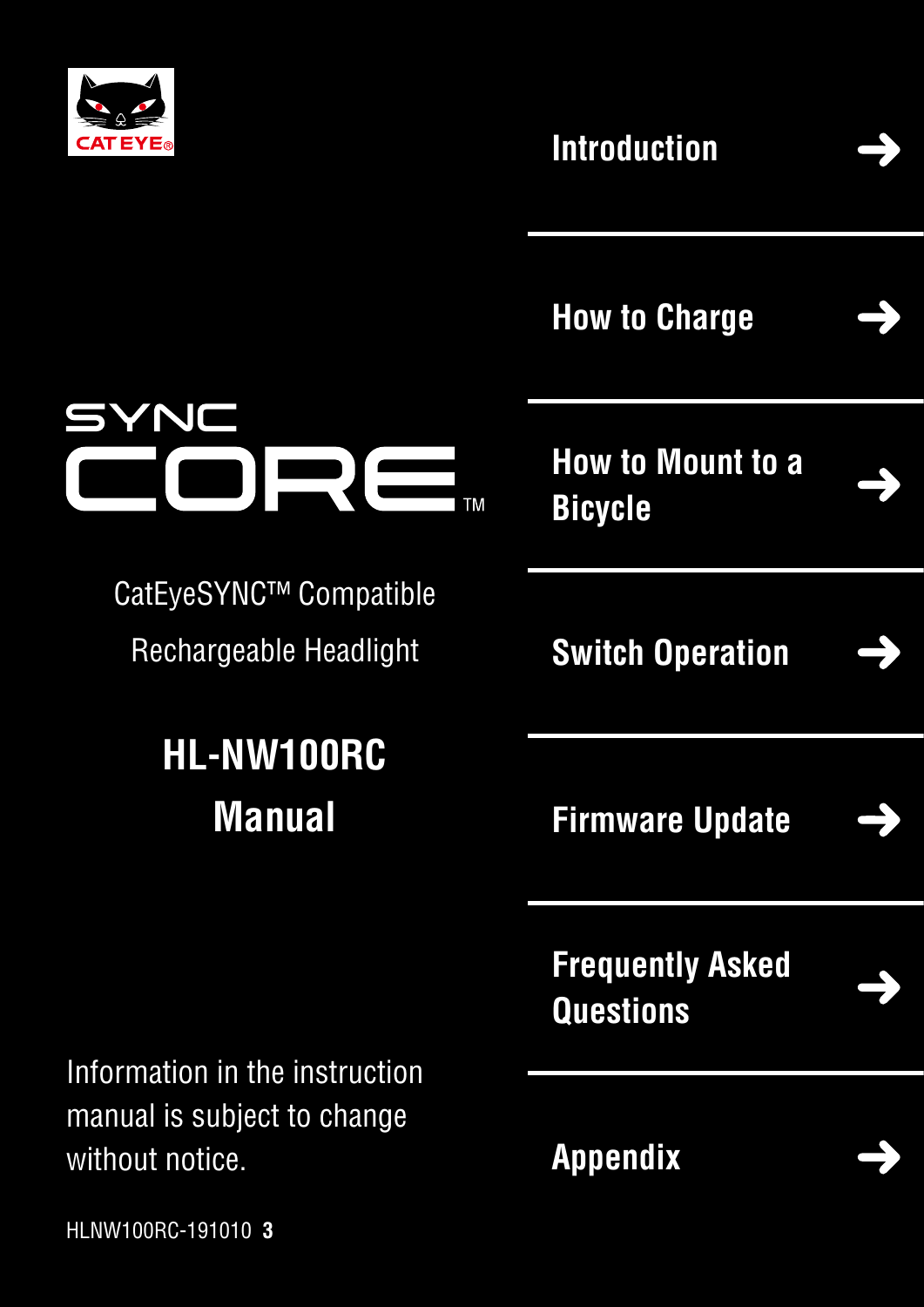

YNC

#### **[Introduction](#page-1-0)**



**[How to Charge](#page-2-0)**

**[How to Mount to a](#page-3-0)  Bicycle**

**TM** 

**[Switch Operation](#page-5-0)**

**[Firmware Update](#page-7-0)**



**[Frequently Asked](#page-10-0)  Questions**

**[Appendix](#page-10-0)**

Information in the instruction manual is subject to change without notice.

CatEyeSYNC™ Compatible

Rechargeable Headlight

**HL-NW100RC**

**Manual**

HLNW100RC-191010 **3**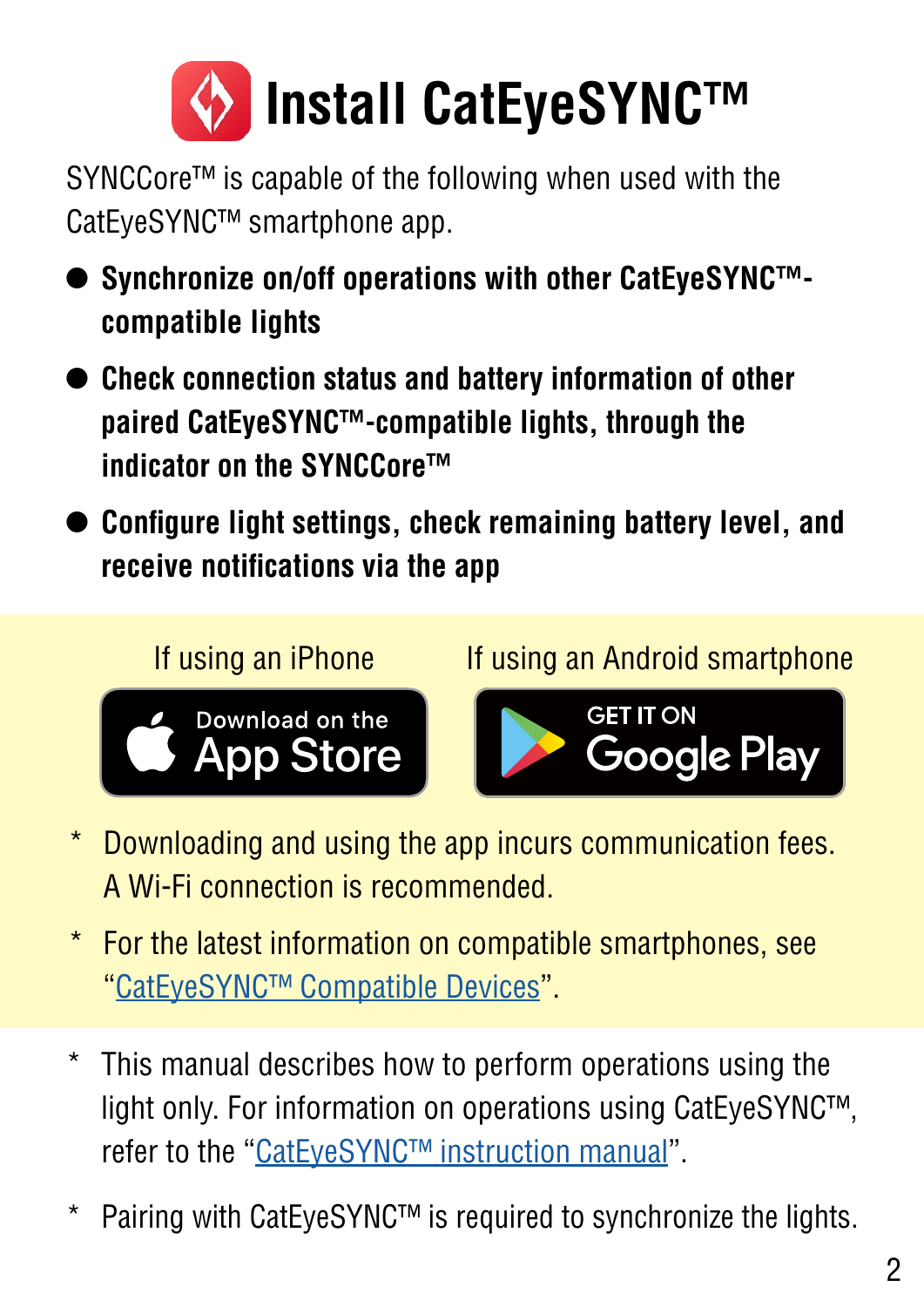<span id="page-1-0"></span>

SYNCCore™ is capable of the following when used with the CatEyeSYNC™ smartphone app.

- **• Synchronize on/off operations with other CatEyeSYNC™ compatible lights**
- **• Check connection status and battery information of other paired CatEyeSYNC™-compatible lights, through the indicator on the SYNCCore™**
- **• Configure light settings, check remaining battery level, and receive notifications via the app**

If using an iPhone If using an Android smartphone





- \* Downloading and using the app incurs communication fees. A Wi-Fi connection is recommended.
- \* For the latest information on compatible smartphones, see ["CatEyeSYNC™ Compatible Devices](https://cateye.com/data/resources/sync_compatible_device_en.pdf)".
- \* This manual describes how to perform operations using the light only. For information on operations using CatEyeSYNC™, refer to the "[CatEyeSYNC™ instruction manual"](https://www.cateye.com/manual/CatEyeSYNC_portal/).
- Pairing with CatEyeSYNC™ is required to synchronize the lights.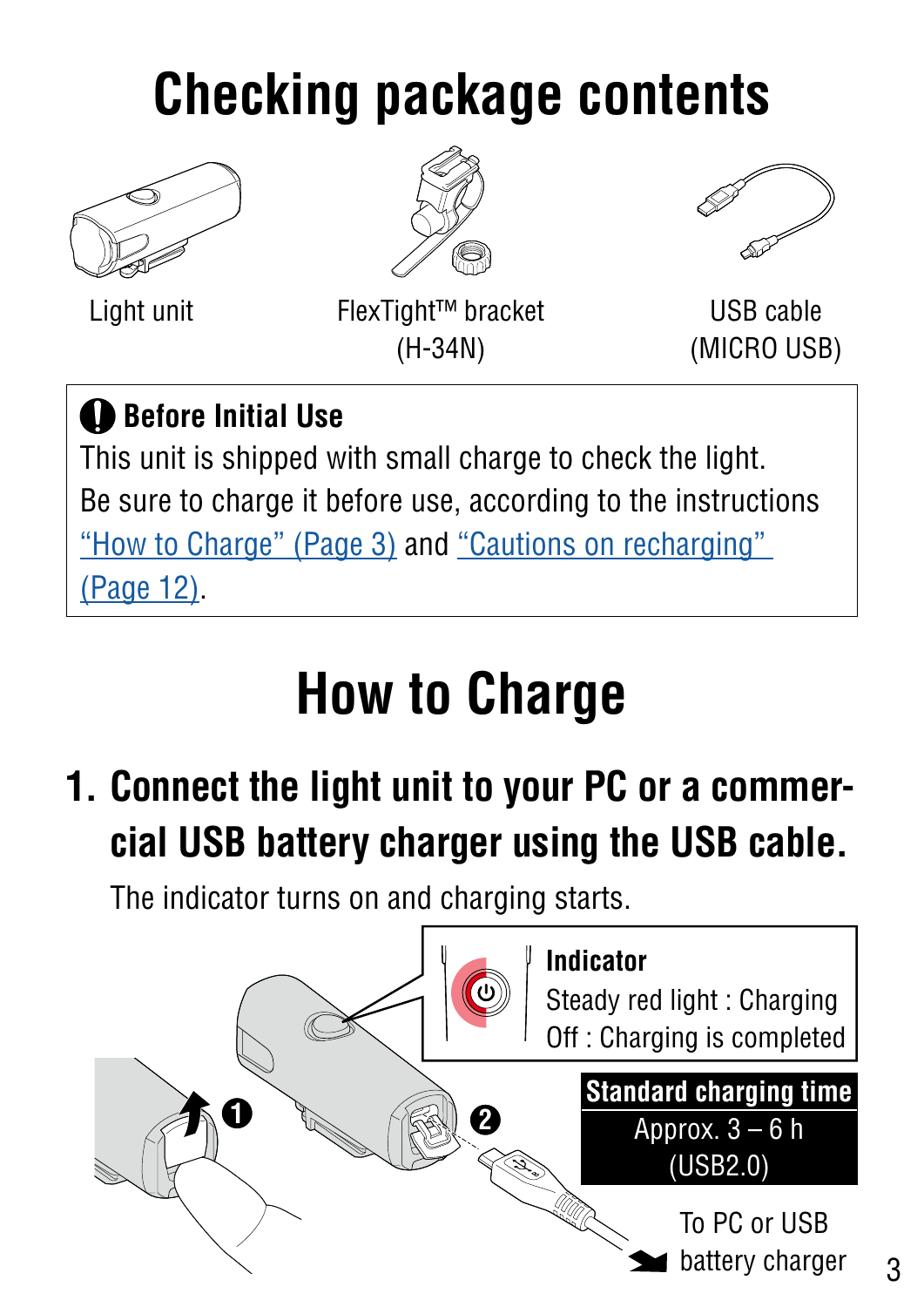## <span id="page-2-0"></span>**Checking package contents**







Light unit USB cable FlexTight™ bracket (H-34N)

(MICRO USB)

#### **Before Initial Use**

This unit is shipped with small charge to check the light. Be sure to charge it before use, according to the instructions ["How to Charge" \(Page 3\)](#page-2-1) and "Cautions on recharging" [\(Page 12\).](#page-11-0)

# <span id="page-2-1"></span>**How to Charge**

**1. Connect the light unit to your PC or a commercial USB battery charger using the USB cable.**

The indicator turns on and charging starts.

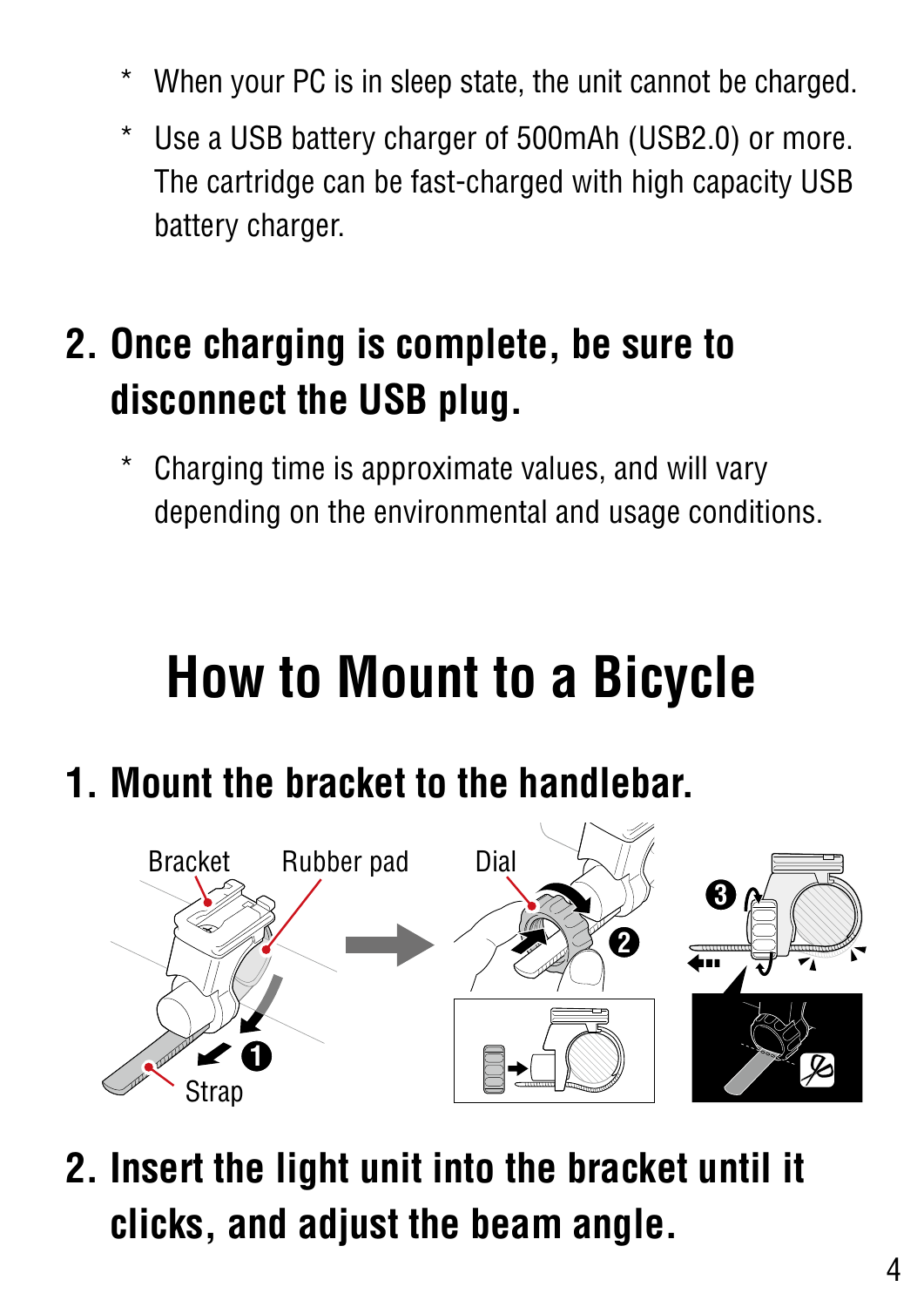- <span id="page-3-0"></span>When your PC is in sleep state, the unit cannot be charged.
- \* Use a USB battery charger of 500mAh (USB2.0) or more. The cartridge can be fast-charged with high capacity USB battery charger.

#### **2. Once charging is complete, be sure to disconnect the USB plug.**

Charging time is approximate values, and will vary depending on the environmental and usage conditions.

## **How to Mount to a Bicycle**

**1. Mount the bracket to the handlebar.** 



**2. Insert the light unit into the bracket until it clicks, and adjust the beam angle.**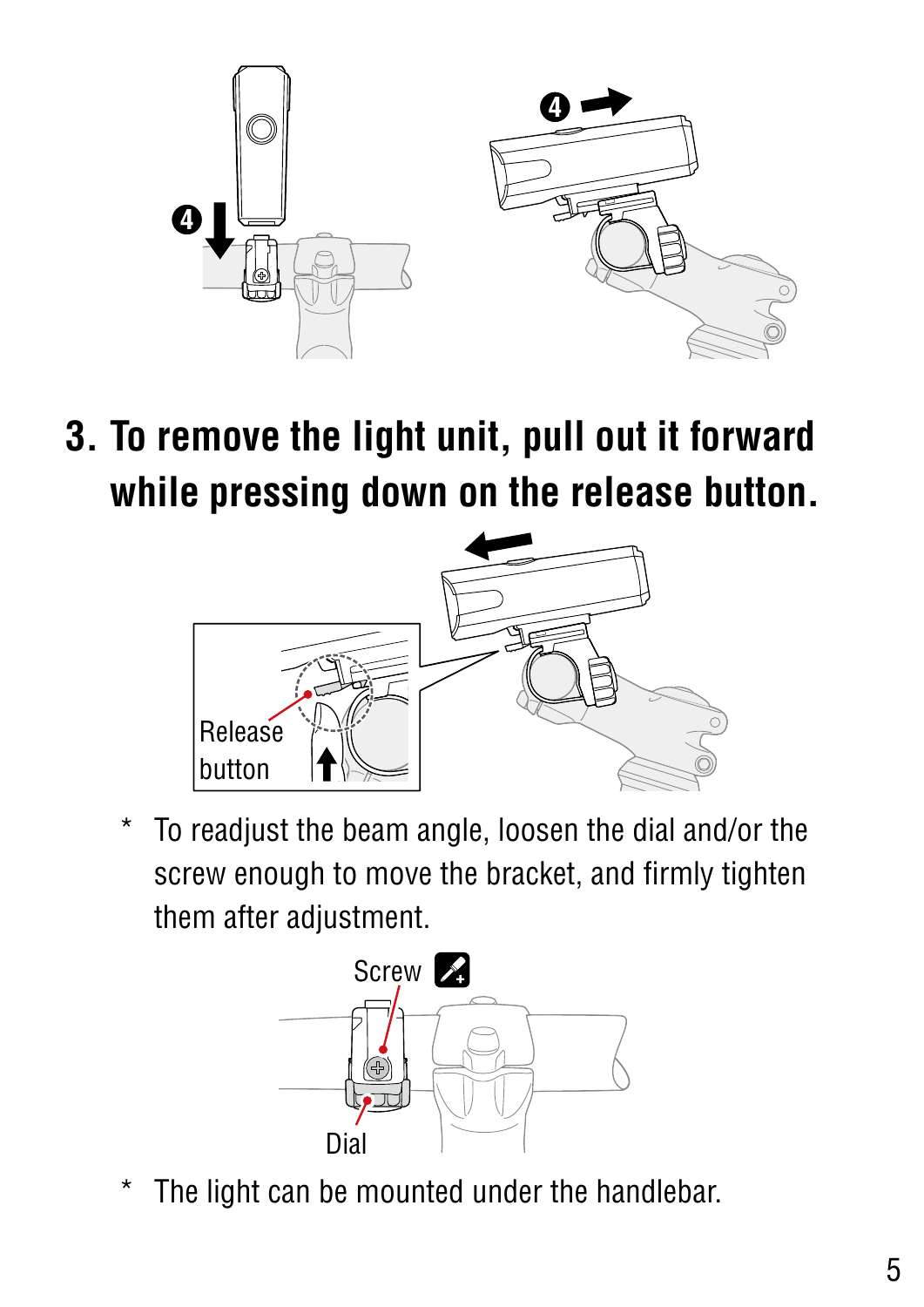

**3. To remove the light unit, pull out it forward while pressing down on the release button.**



To readjust the beam angle, loosen the dial and/or the screw enough to move the bracket, and firmly tighten them after adjustment.



The light can be mounted under the handlebar.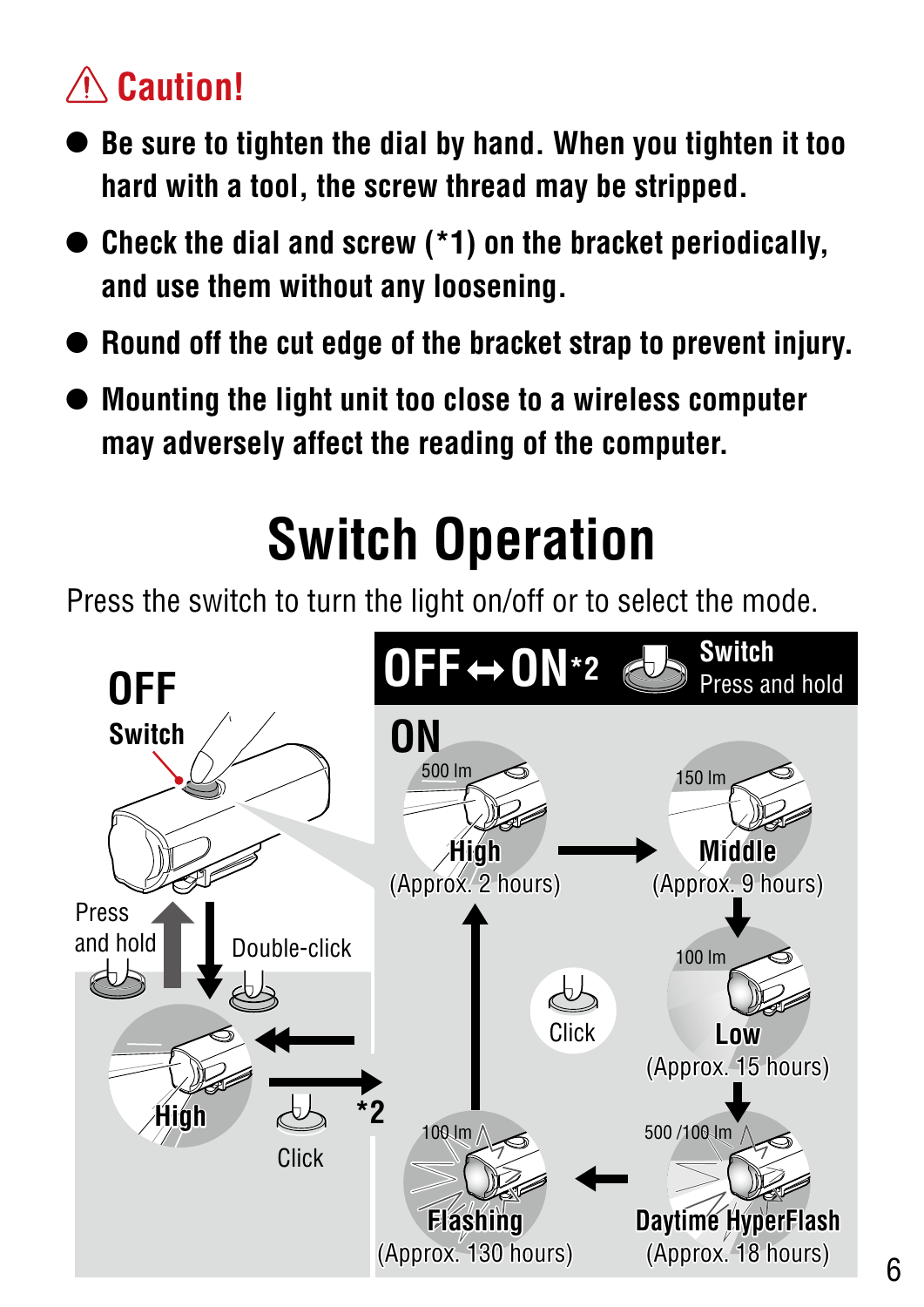#### <span id="page-5-0"></span> **Caution!**

- **• Be sure to tighten the dial by hand. When you tighten it too hard with a tool, the screw thread may be stripped.**
- **• Check the dial and screw (\*1) on the bracket periodically, and use them without any loosening.**
- **• Round off the cut edge of the bracket strap to prevent injury.**
- **• Mounting the light unit too close to a wireless computer may adversely affect the reading of the computer.**

## **Switch Operation**

Press the switch to turn the light on/off or to select the mode.

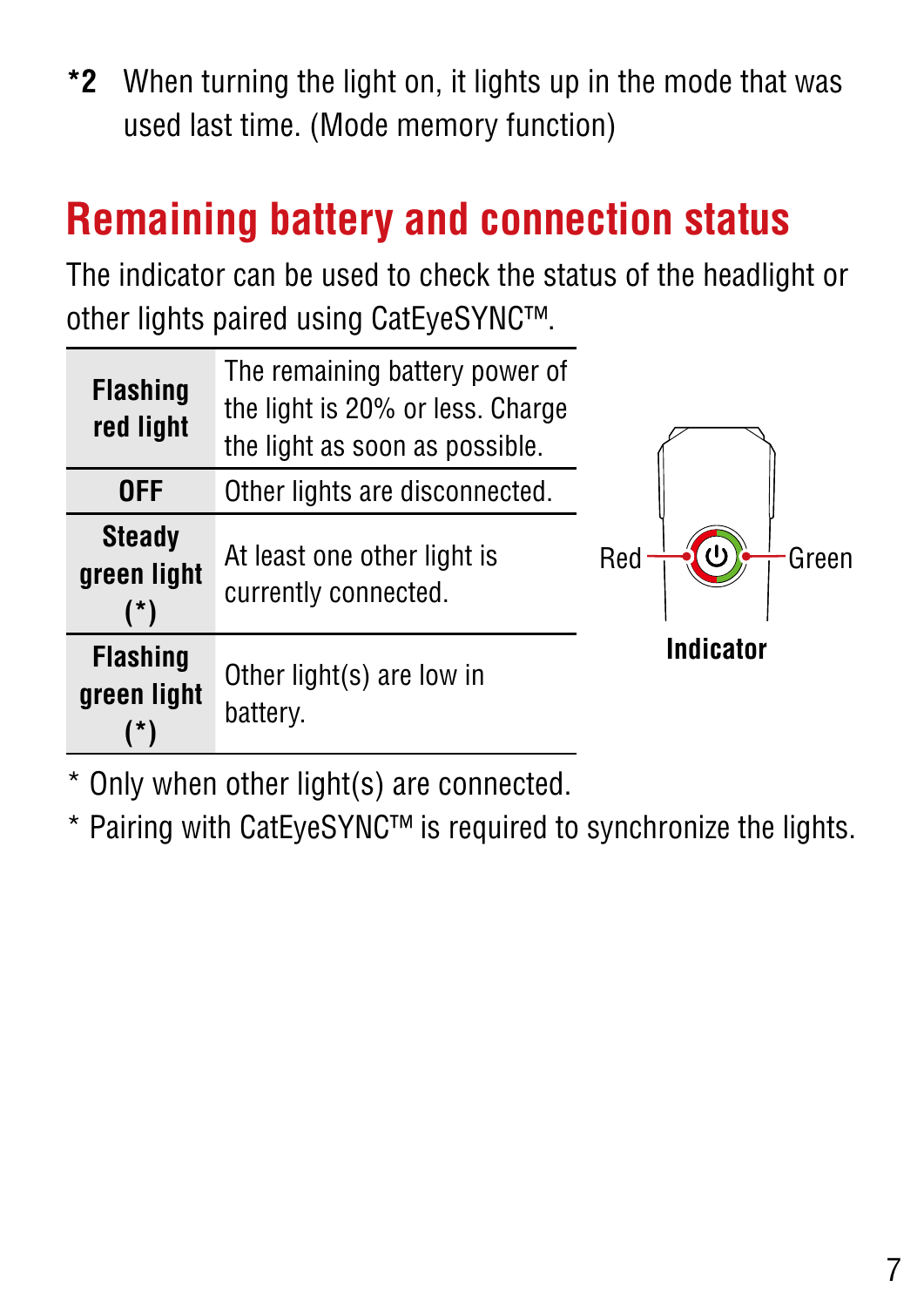**\*2** When turning the light on, it lights up in the mode that was used last time. (Mode memory function)

#### **Remaining battery and connection status**

The indicator can be used to check the status of the headlight or other lights paired using CatEyeSYNC™.

| <b>Flashing</b><br>red light              | The remaining battery power of<br>the light is 20% or less. Charge<br>the light as soon as possible. |                  |
|-------------------------------------------|------------------------------------------------------------------------------------------------------|------------------|
| <b>OFF</b>                                | Other lights are disconnected.                                                                       |                  |
| <b>Steady</b><br>green light<br>$(*)$     | At least one other light is<br>currently connected.                                                  | Red<br>Green     |
| <b>Flashing</b><br>green light<br>$\star$ | Other light(s) are low in<br>battery.                                                                | <b>Indicator</b> |

\* Only when other light(s) are connected.

\* Pairing with CatEyeSYNC™ is required to synchronize the lights.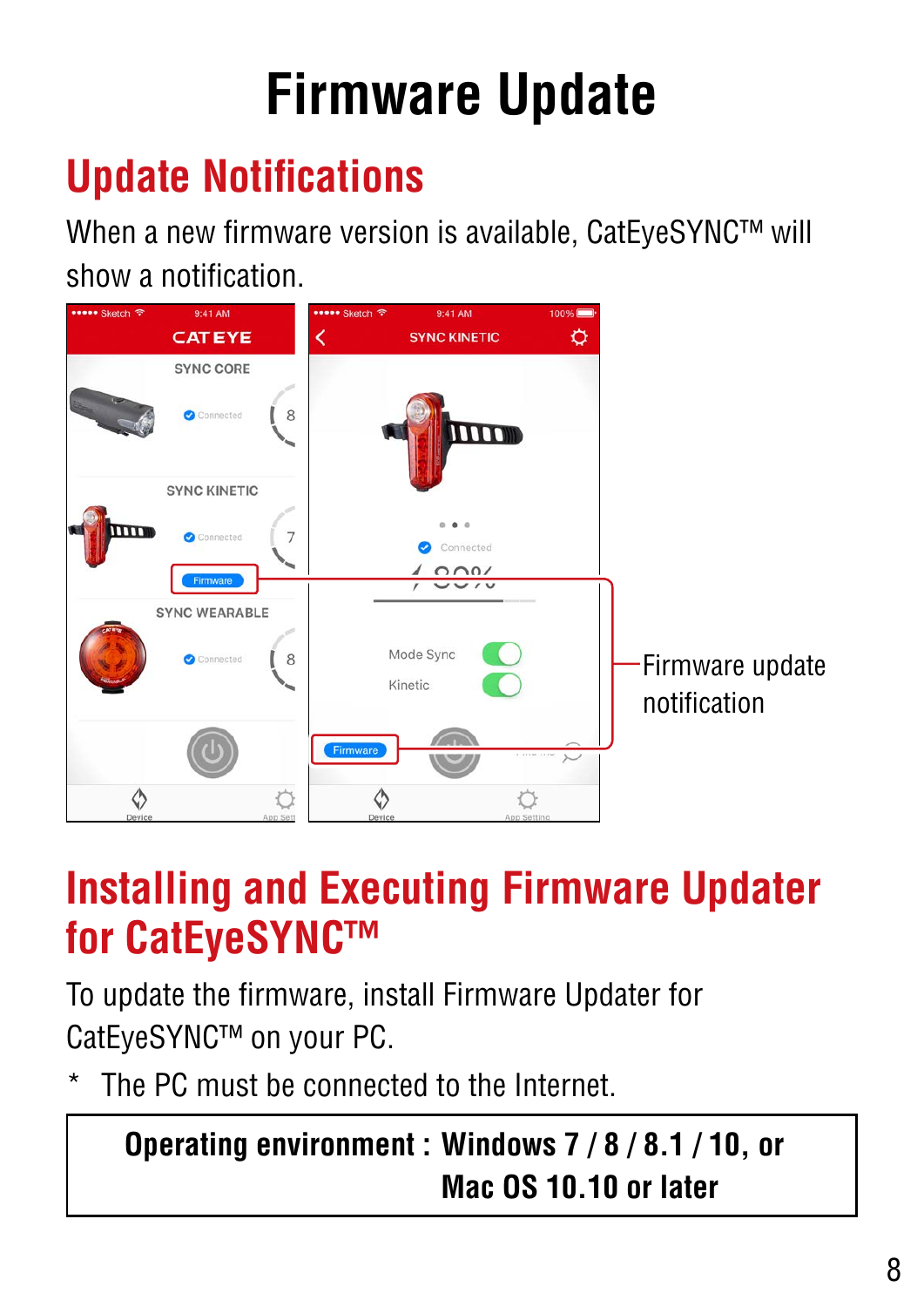## **Firmware Update**

## <span id="page-7-0"></span>**Update Notifications**

When a new firmware version is available, CatEyeSYNC™ will show a notification.



#### **Installing and Executing Firmware Updater for CatEyeSYNC™**

To update the firmware, install Firmware Updater for CatEyeSYNC™ on your PC.

The PC must be connected to the Internet.

#### **Operating environment : Windows 7 / 8 / 8.1 / 10, or Mac OS 10.10 or later**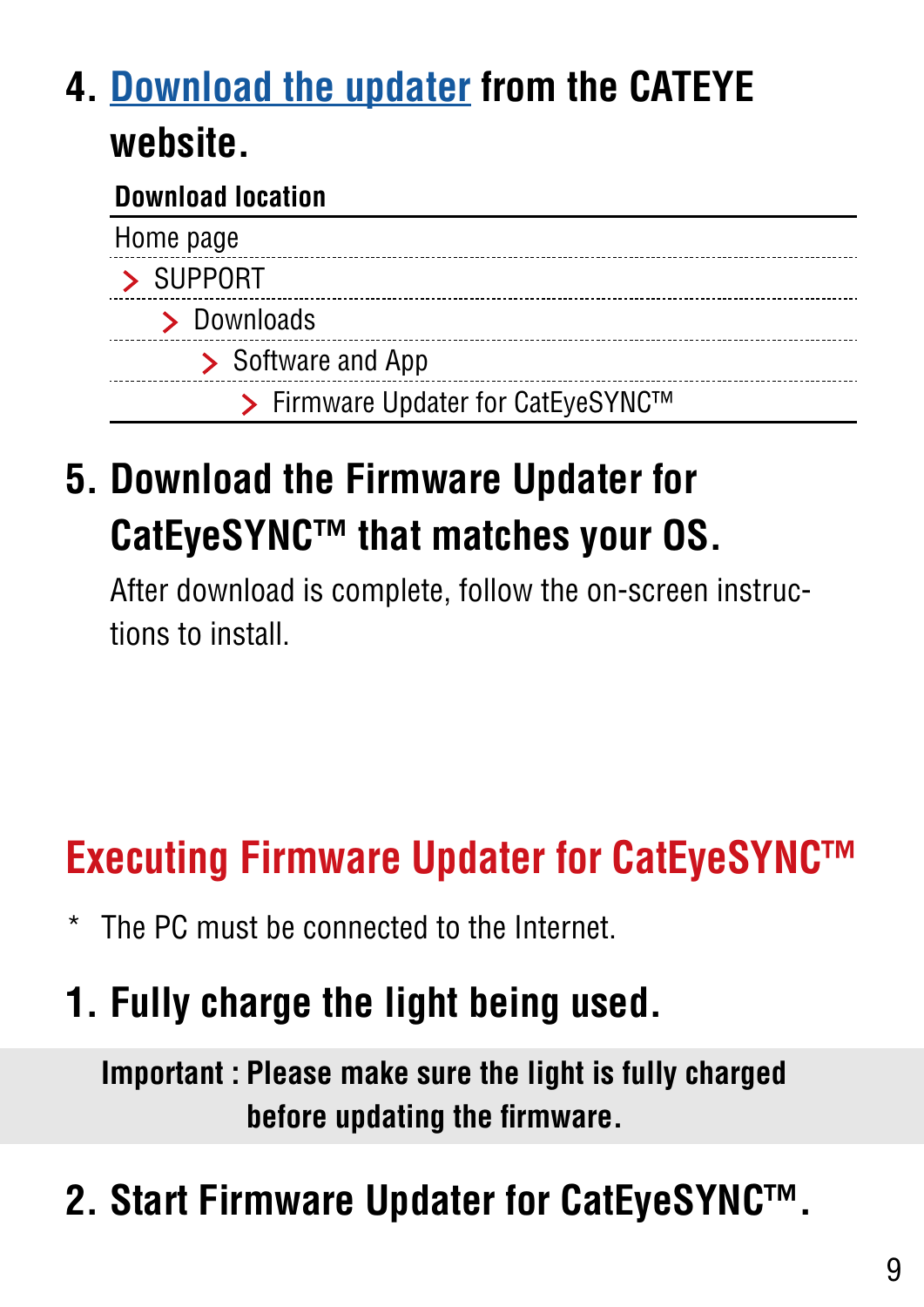#### **4. [Download the updater](https://www.cateye.com/intl/support/manual/CatEyeSYNC) from the CATEYE website.**

#### **Download location**

| Home page                          |
|------------------------------------|
| > SUPPORT                          |
| > Downloads                        |
| > Software and App                 |
| > Firmware Updater for CatEyeSYNC™ |

#### **5. Download the Firmware Updater for CatEyeSYNC™ that matches your OS.**

After download is complete, follow the on-screen instructions to install.

### **Executing Firmware Updater for CatEyeSYNC™**

The PC must be connected to the Internet.

#### **1. Fully charge the light being used.**

**Important : Please make sure the light is fully charged before updating the firmware.**

## **2. Start Firmware Updater for CatEyeSYNC™.**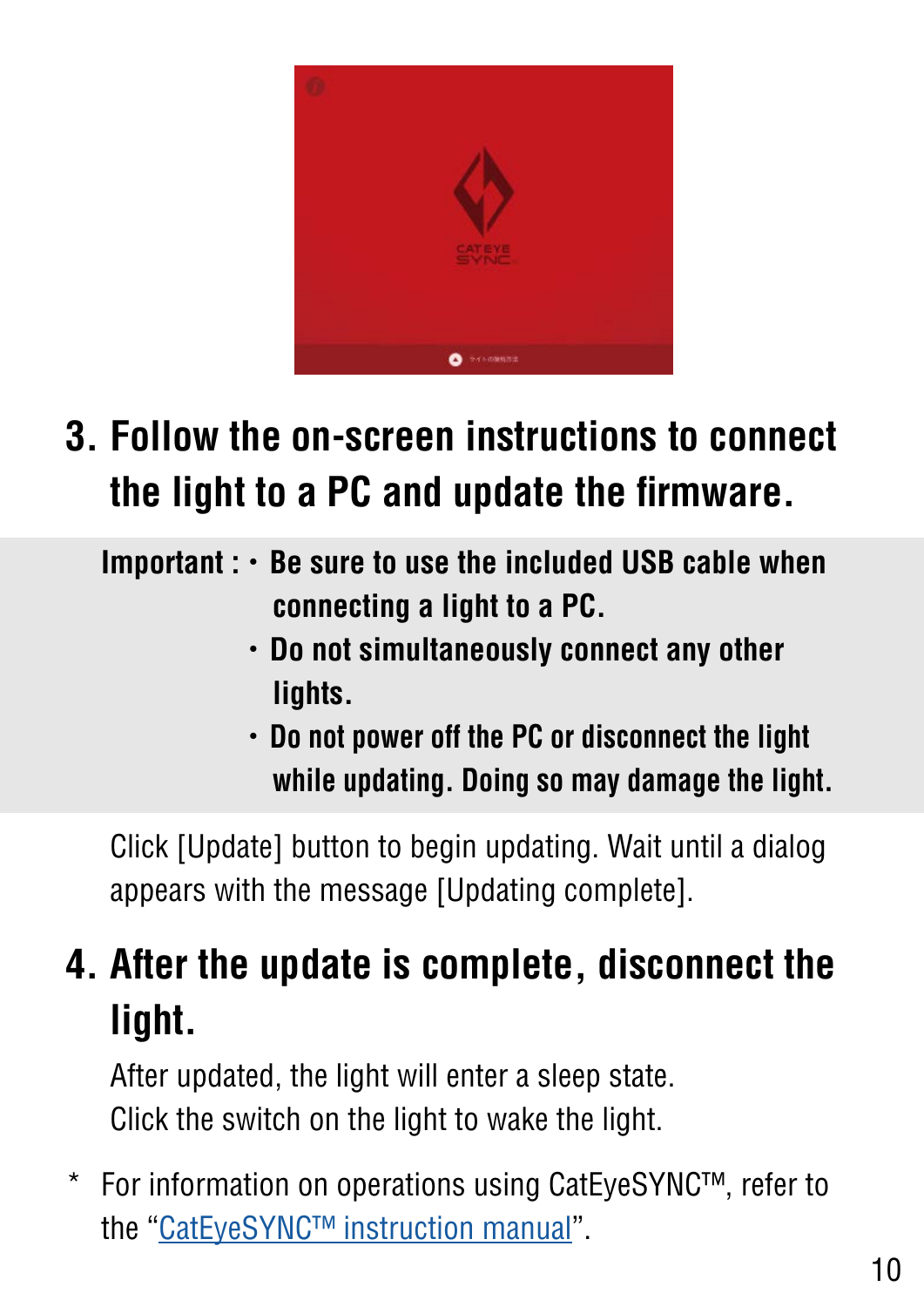

#### **3. Follow the on-screen instructions to connect the light to a PC and update the firmware.**

**Important :**・**Be sure to use the included USB cable when connecting a light to a PC.**

- ・**Do not simultaneously connect any other lights.**
- ・**Do not power off the PC or disconnect the light while updating. Doing so may damage the light.**

Click [Update] button to begin updating. Wait until a dialog appears with the message [Updating complete].

### **4. After the update is complete, disconnect the light.**

After updated, the light will enter a sleep state. Click the switch on the light to wake the light.

\* For information on operations using CatEyeSYNC™, refer to the ["CatEyeSYNC™ instruction manual](https://www.cateye.com/manual/CatEyeSYNC_portal/)".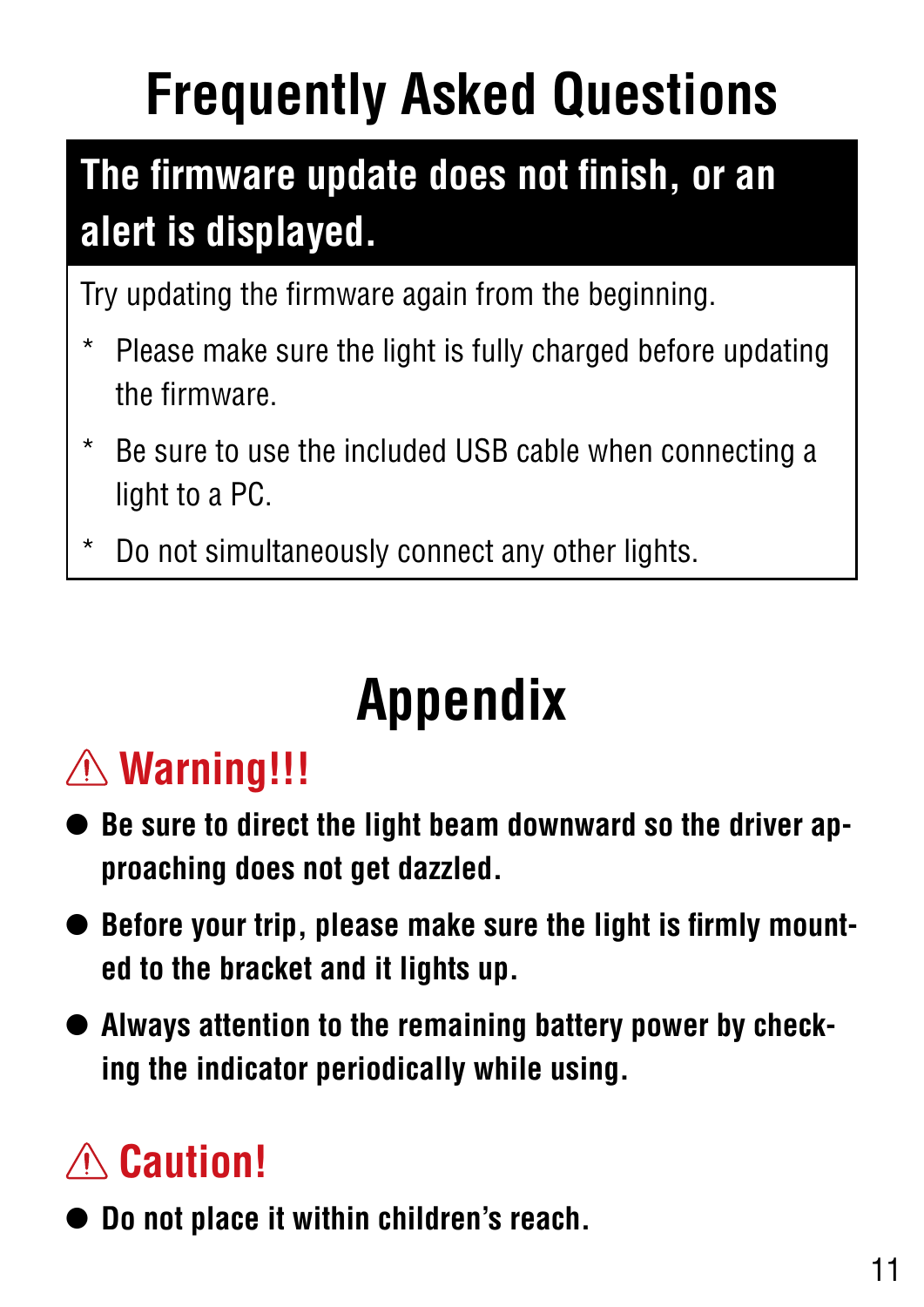# <span id="page-10-0"></span>**Frequently Asked Questions**

## **The firmware update does not finish, or an alert is displayed.**

Try updating the firmware again from the beginning.

- Please make sure the light is fully charged before updating the firmware.
- Be sure to use the included USB cable when connecting a light to a PC.
- Do not simultaneously connect any other lights.

## **Appendix**

## **Warning!!!**

- **• Be sure to direct the light beam downward so the driver approaching does not get dazzled.**
- **• Before your trip, please make sure the light is firmly mounted to the bracket and it lights up.**
- **• Always attention to the remaining battery power by checking the indicator periodically while using.**

## **Caution!**

**• Do not place it within children's reach.**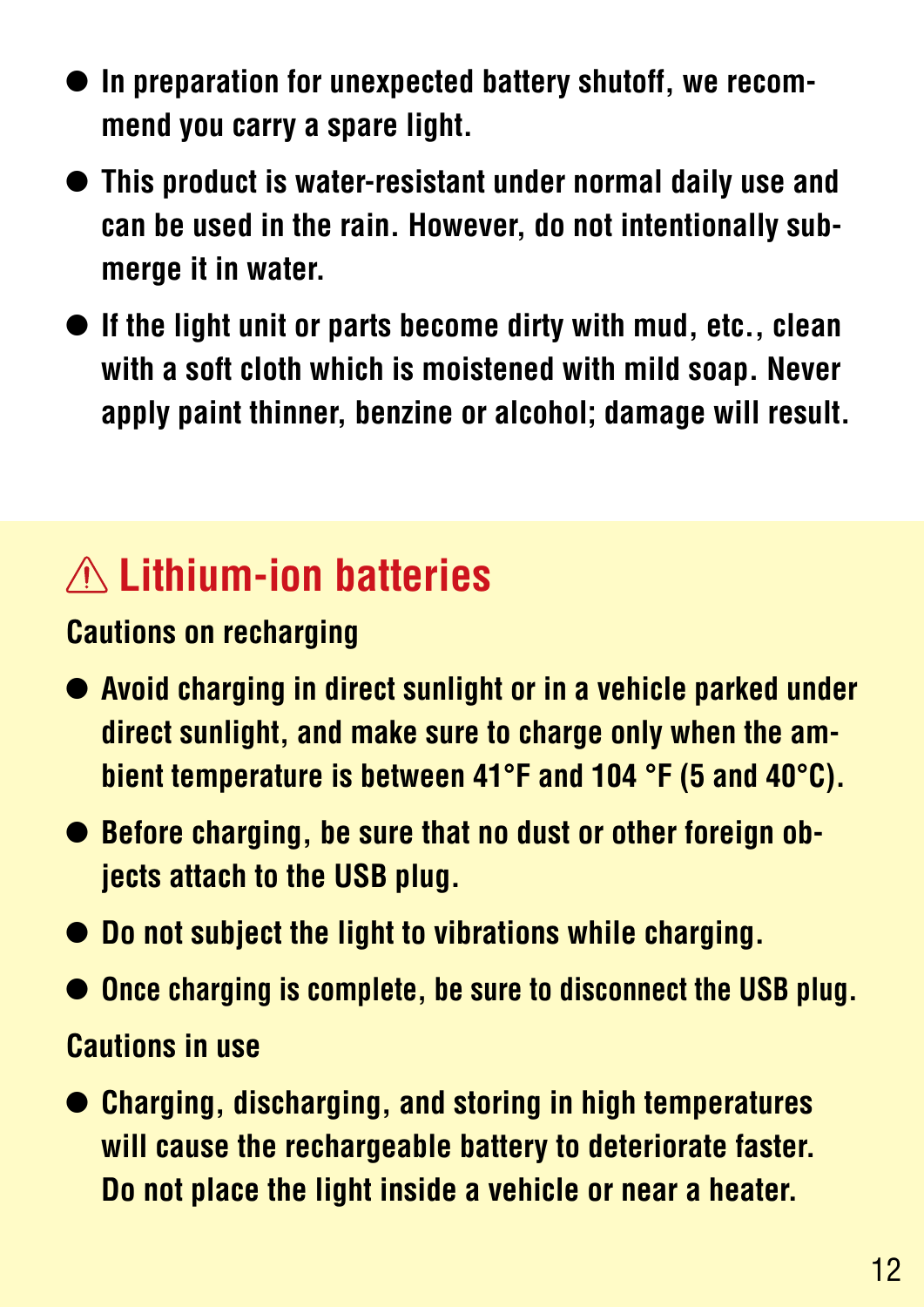- **• In preparation for unexpected battery shutoff, we recommend you carry a spare light.**
- **• This product is water-resistant under normal daily use and can be used in the rain. However, do not intentionally submerge it in water.**
- **• If the light unit or parts become dirty with mud, etc., clean with a soft cloth which is moistened with mild soap. Never apply paint thinner, benzine or alcohol; damage will result.**

### **Lithium-ion batteries**

#### <span id="page-11-0"></span>**Cautions on recharging**

- **• Avoid charging in direct sunlight or in a vehicle parked under direct sunlight, and make sure to charge only when the ambient temperature is between 41°F and 104 °F (5 and 40°C).**
- **• Before charging, be sure that no dust or other foreign objects attach to the USB plug.**
- **• Do not subject the light to vibrations while charging.**
- **• Once charging is complete, be sure to disconnect the USB plug.**

#### **Cautions in use**

**• Charging, discharging, and storing in high temperatures will cause the rechargeable battery to deteriorate faster. Do not place the light inside a vehicle or near a heater.**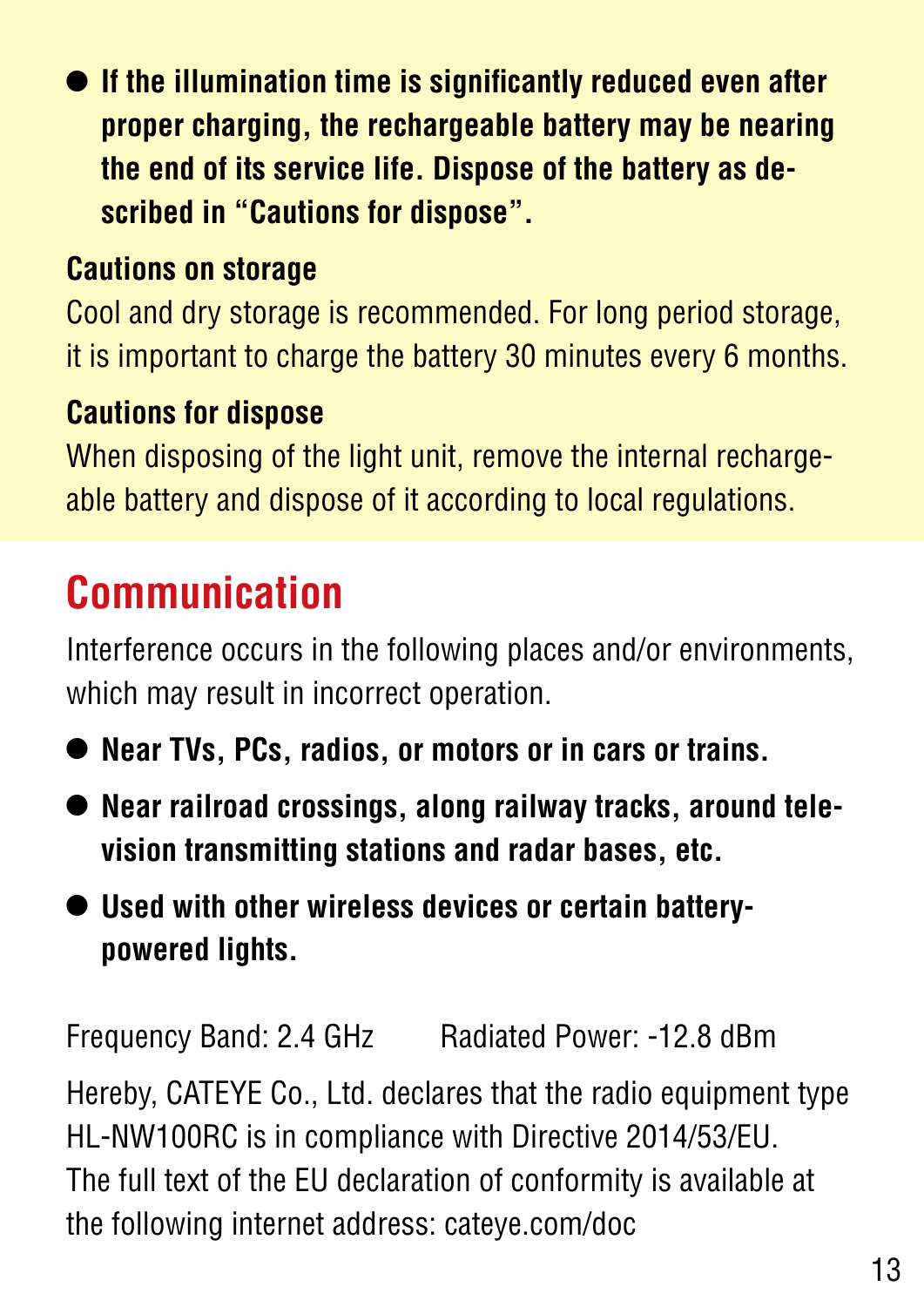**• If the illumination time is significantly reduced even after proper charging, the rechargeable battery may be nearing the end of its service life. Dispose of the battery as described in "Cautions for dispose".**

#### **Cautions on storage**

Cool and dry storage is recommended. For long period storage, it is important to charge the battery 30 minutes every 6 months.

#### **Cautions for dispose**

When disposing of the light unit, remove the internal rechargeable battery and dispose of it according to local regulations.

### **Communication**

Interference occurs in the following places and/or environments, which may result in incorrect operation.

- **• Near TVs, PCs, radios, or motors or in cars or trains.**
- **• Near railroad crossings, along railway tracks, around television transmitting stations and radar bases, etc.**
- **• Used with other wireless devices or certain batterypowered lights.**

Frequency Band: 2.4 GHz Radiated Power: -12.8 dBm Hereby, CATEYE Co., Ltd. declares that the radio equipment type HL-NW100RC is in compliance with Directive 2014/53/EU. The full text of the EU declaration of conformity is available at the following internet address: cateye.com/doc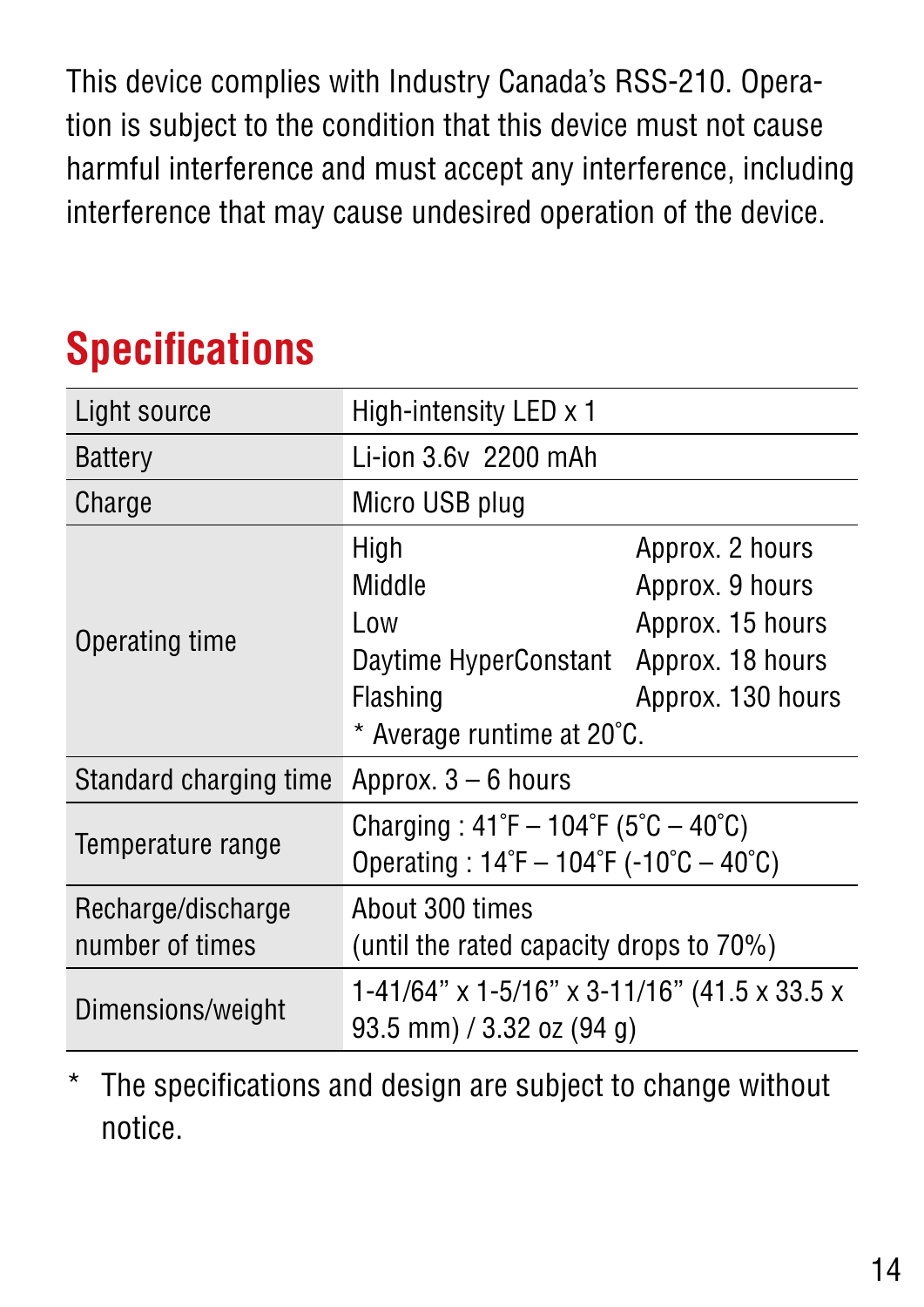This device complies with Industry Canada's RSS-210. Operation is subject to the condition that this device must not cause harmful interference and must accept any interference, including interference that may cause undesired operation of the device.

## **Specifications**

| Light source                          | High-intensity LED $\times$ 1                                                                                                            |                                                                             |  |
|---------------------------------------|------------------------------------------------------------------------------------------------------------------------------------------|-----------------------------------------------------------------------------|--|
| <b>Battery</b>                        | Li-ion 3.6y 2200 mAh                                                                                                                     |                                                                             |  |
| Charge                                | Micro USB plug                                                                                                                           |                                                                             |  |
| Operating time                        | High<br>Middle<br>Low<br>Daytime HyperConstant Approx. 18 hours<br>Flashing<br>* Average runtime at 20°C.                                | Approx. 2 hours<br>Approx. 9 hours<br>Approx. 15 hours<br>Approx. 130 hours |  |
| Standard charging time                | Approx. $3-6$ hours                                                                                                                      |                                                                             |  |
| Temperature range                     | Charging: $41^{\circ}F - 104^{\circ}F (5^{\circ}C - 40^{\circ}C)$<br>Operating: $14^{\circ}F - 104^{\circ}F - 10^{\circ}C - 40^{\circ}C$ |                                                                             |  |
| Recharge/discharge<br>number of times | About 300 times<br>(until the rated capacity drops to 70%)                                                                               |                                                                             |  |
| Dimensions/weight                     | 1-41/64" x 1-5/16" x 3-11/16" (41.5 x 33.5 x<br>93.5 mm) / 3.32 oz (94 g)                                                                |                                                                             |  |

\* The specifications and design are subject to change without notice.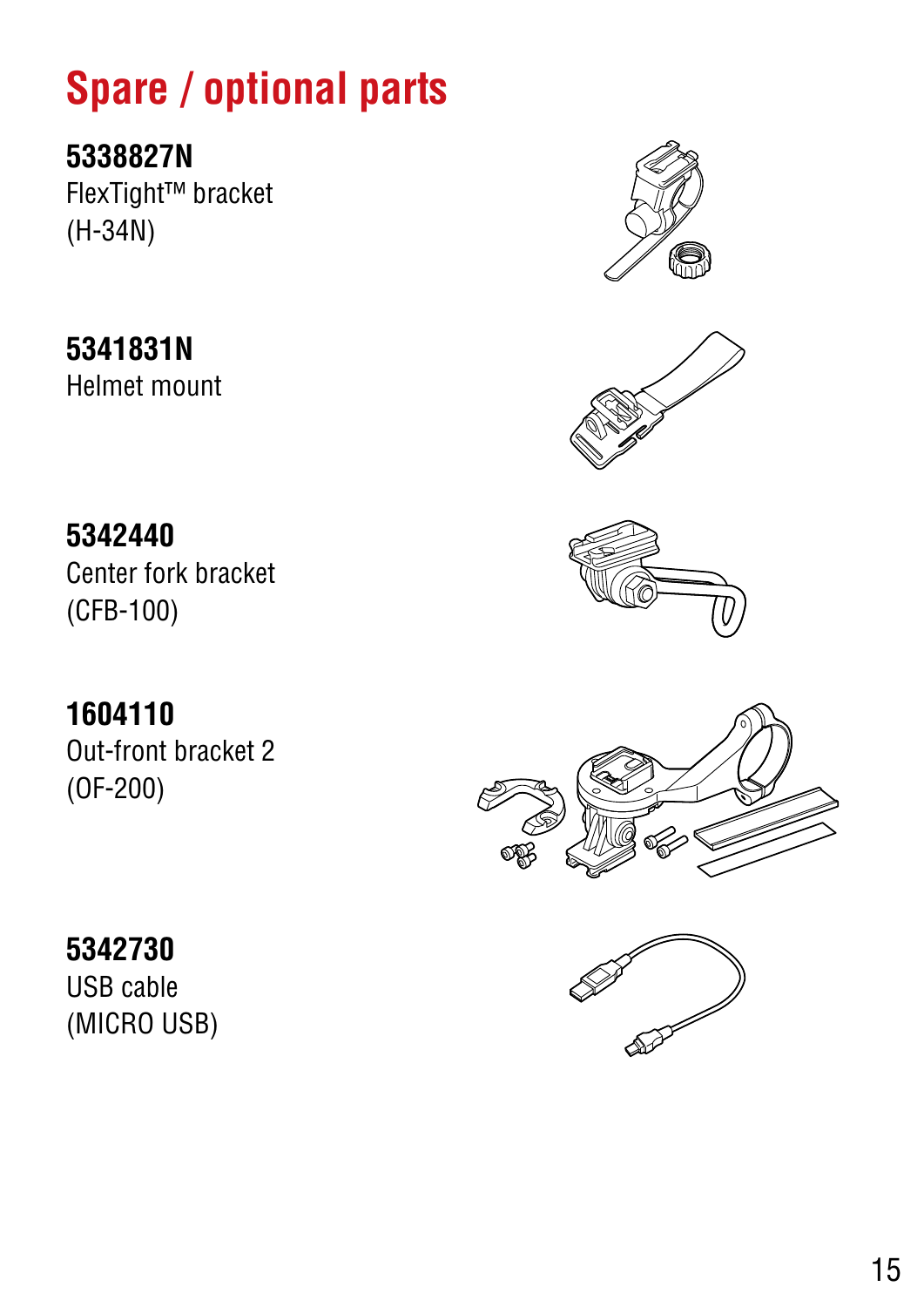## **Spare / optional parts**

**5338827N** FlexTight™ bracket (H-34N)

**5341831N** Helmet mount

**5342440** Center fork bracket (CFB-100)

**1604110** Out-front bracket 2 (OF-200)









#### **5342730** USB cable

(MICRO USB)